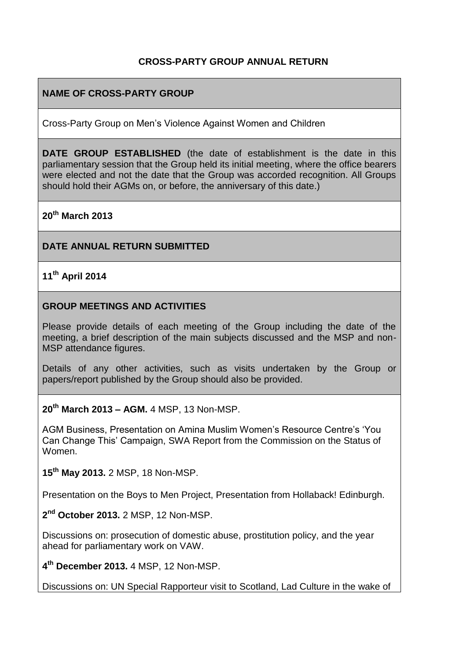## **CROSS-PARTY GROUP ANNUAL RETURN**

## **NAME OF CROSS-PARTY GROUP**

Cross-Party Group on Men's Violence Against Women and Children

**DATE GROUP ESTABLISHED** (the date of establishment is the date in this parliamentary session that the Group held its initial meeting, where the office bearers were elected and not the date that the Group was accorded recognition. All Groups should hold their AGMs on, or before, the anniversary of this date.)

## **20th March 2013**

### **DATE ANNUAL RETURN SUBMITTED**

### **11th April 2014**

### **GROUP MEETINGS AND ACTIVITIES**

Please provide details of each meeting of the Group including the date of the meeting, a brief description of the main subjects discussed and the MSP and non-MSP attendance figures.

Details of any other activities, such as visits undertaken by the Group or papers/report published by the Group should also be provided.

**20th March 2013 – AGM.** 4 MSP, 13 Non-MSP.

AGM Business, Presentation on Amina Muslim Women's Resource Centre's 'You Can Change This' Campaign, SWA Report from the Commission on the Status of Women.

**15th May 2013.** 2 MSP, 18 Non-MSP.

Presentation on the Boys to Men Project, Presentation from Hollaback! Edinburgh.

**2 nd October 2013.** 2 MSP, 12 Non-MSP.

Discussions on: prosecution of domestic abuse, prostitution policy, and the year ahead for parliamentary work on VAW.

**4 th December 2013.** 4 MSP, 12 Non-MSP.

Discussions on: UN Special Rapporteur visit to Scotland, Lad Culture in the wake of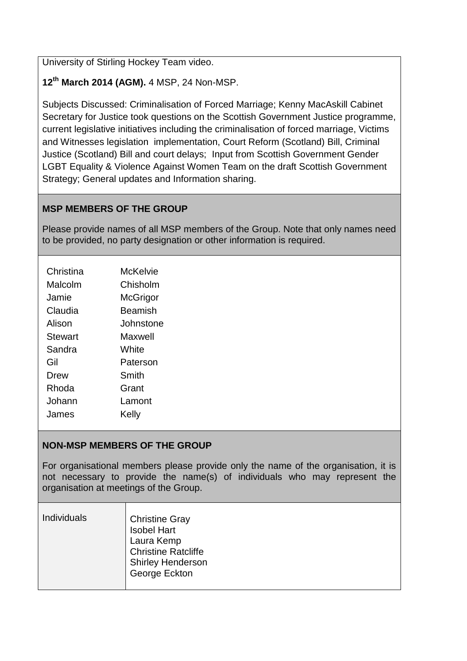University of Stirling Hockey Team video.

# **12th March 2014 (AGM).** 4 MSP, 24 Non-MSP.

Subjects Discussed: Criminalisation of Forced Marriage; Kenny MacAskill Cabinet Secretary for Justice took questions on the Scottish Government Justice programme, current legislative initiatives including the criminalisation of forced marriage, Victims and Witnesses legislation implementation, Court Reform (Scotland) Bill, Criminal Justice (Scotland) Bill and court delays; Input from Scottish Government Gender LGBT Equality & Violence Against Women Team on the draft Scottish Government Strategy; General updates and Information sharing.

# **MSP MEMBERS OF THE GROUP**

Please provide names of all MSP members of the Group. Note that only names need to be provided, no party designation or other information is required.

| Christina | McKelvie       |
|-----------|----------------|
| Malcolm   | Chisholm       |
| Jamie     | McGrigor       |
| Claudia   | <b>Beamish</b> |
| Alison    | Johnstone      |
| Stewart   | Maxwell        |
| Sandra    | White          |
| Gil       | Paterson       |
| Drew      | Smith          |
| Rhoda     | Grant          |
| Johann    | Lamont         |
| James     | Kelly          |

# **NON-MSP MEMBERS OF THE GROUP**

For organisational members please provide only the name of the organisation, it is not necessary to provide the name(s) of individuals who may represent the organisation at meetings of the Group.

| <b>Individuals</b> | <b>Christine Gray</b><br><b>Isobel Hart</b><br>Laura Kemp<br><b>Christine Ratcliffe</b><br><b>Shirley Henderson</b><br>George Eckton |
|--------------------|--------------------------------------------------------------------------------------------------------------------------------------|
|--------------------|--------------------------------------------------------------------------------------------------------------------------------------|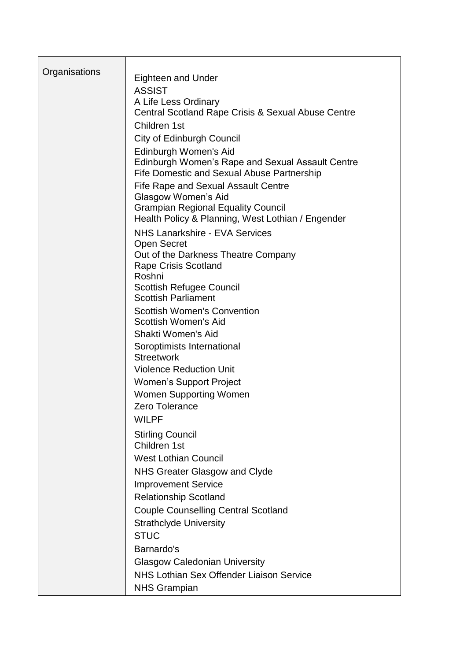| Organisations | <b>Eighteen and Under</b>                                                                      |
|---------------|------------------------------------------------------------------------------------------------|
|               | <b>ASSIST</b>                                                                                  |
|               | A Life Less Ordinary                                                                           |
|               | Central Scotland Rape Crisis & Sexual Abuse Centre                                             |
|               | Children 1st                                                                                   |
|               | <b>City of Edinburgh Council</b>                                                               |
|               | Edinburgh Women's Aid                                                                          |
|               | Edinburgh Women's Rape and Sexual Assault Centre<br>Fife Domestic and Sexual Abuse Partnership |
|               | <b>Fife Rape and Sexual Assault Centre</b>                                                     |
|               | Glasgow Women's Aid                                                                            |
|               | <b>Grampian Regional Equality Council</b>                                                      |
|               | Health Policy & Planning, West Lothian / Engender                                              |
|               | <b>NHS Lanarkshire - EVA Services</b>                                                          |
|               | <b>Open Secret</b>                                                                             |
|               | Out of the Darkness Theatre Company                                                            |
|               | <b>Rape Crisis Scotland</b><br>Roshni                                                          |
|               | <b>Scottish Refugee Council</b>                                                                |
|               | <b>Scottish Parliament</b>                                                                     |
|               | <b>Scottish Women's Convention</b>                                                             |
|               | Scottish Women's Aid                                                                           |
|               | Shakti Women's Aid                                                                             |
|               | Soroptimists International                                                                     |
|               | <b>Streetwork</b>                                                                              |
|               | <b>Violence Reduction Unit</b>                                                                 |
|               | <b>Women's Support Project</b>                                                                 |
|               | <b>Women Supporting Women</b><br>Zero Tolerance                                                |
|               |                                                                                                |
|               | <b>WILPF</b>                                                                                   |
|               | <b>Stirling Council</b><br>Children 1st                                                        |
|               | <b>West Lothian Council</b>                                                                    |
|               |                                                                                                |
|               | <b>NHS Greater Glasgow and Clyde</b>                                                           |
|               | <b>Improvement Service</b>                                                                     |
|               | <b>Relationship Scotland</b>                                                                   |
|               | <b>Couple Counselling Central Scotland</b>                                                     |
|               | <b>Strathclyde University</b><br><b>STUC</b>                                                   |
|               | Barnardo's                                                                                     |
|               |                                                                                                |
|               | <b>Glasgow Caledonian University</b>                                                           |
|               | NHS Lothian Sex Offender Liaison Service                                                       |
|               | <b>NHS Grampian</b>                                                                            |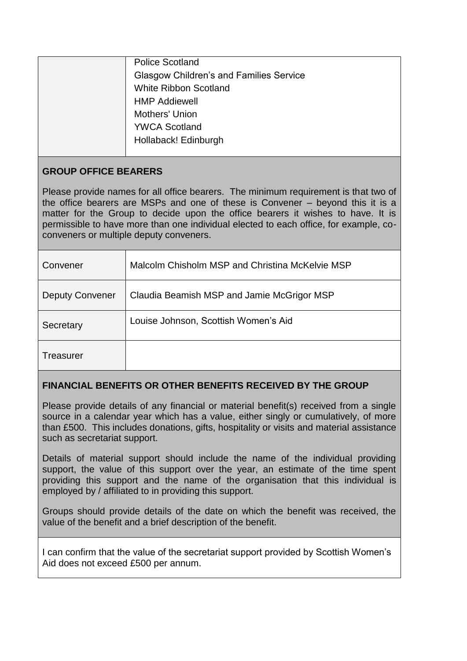| <b>Police Scotland</b>                         |
|------------------------------------------------|
| <b>Glasgow Children's and Families Service</b> |
| <b>White Ribbon Scotland</b>                   |
| <b>HMP Addiewell</b>                           |
| <b>Mothers' Union</b>                          |
| <b>YWCA Scotland</b>                           |
| Hollaback! Edinburgh                           |
|                                                |

## **GROUP OFFICE BEARERS**

Please provide names for all office bearers. The minimum requirement is that two of the office bearers are MSPs and one of these is Convener – beyond this it is a matter for the Group to decide upon the office bearers it wishes to have. It is permissible to have more than one individual elected to each office, for example, coconveners or multiple deputy conveners.

| Convener               | Malcolm Chisholm MSP and Christina McKelvie MSP |
|------------------------|-------------------------------------------------|
| <b>Deputy Convener</b> | Claudia Beamish MSP and Jamie McGrigor MSP      |
| Secretary              | Louise Johnson, Scottish Women's Aid            |
| Treasurer              |                                                 |

### **FINANCIAL BENEFITS OR OTHER BENEFITS RECEIVED BY THE GROUP**

Please provide details of any financial or material benefit(s) received from a single source in a calendar year which has a value, either singly or cumulatively, of more than £500. This includes donations, gifts, hospitality or visits and material assistance such as secretariat support.

Details of material support should include the name of the individual providing support, the value of this support over the year, an estimate of the time spent providing this support and the name of the organisation that this individual is employed by / affiliated to in providing this support.

Groups should provide details of the date on which the benefit was received, the value of the benefit and a brief description of the benefit.

I can confirm that the value of the secretariat support provided by Scottish Women's Aid does not exceed £500 per annum.